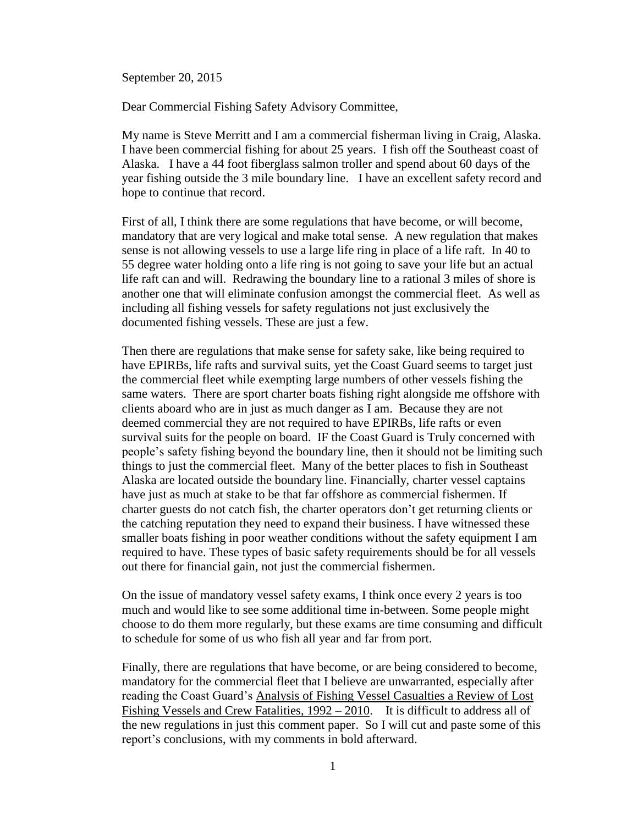September 20, 2015

Dear Commercial Fishing Safety Advisory Committee,

My name is Steve Merritt and I am a commercial fisherman living in Craig, Alaska. I have been commercial fishing for about 25 years. I fish off the Southeast coast of Alaska. I have a 44 foot fiberglass salmon troller and spend about 60 days of the year fishing outside the 3 mile boundary line. I have an excellent safety record and hope to continue that record.

First of all, I think there are some regulations that have become, or will become, mandatory that are very logical and make total sense. A new regulation that makes sense is not allowing vessels to use a large life ring in place of a life raft. In 40 to 55 degree water holding onto a life ring is not going to save your life but an actual life raft can and will. Redrawing the boundary line to a rational 3 miles of shore is another one that will eliminate confusion amongst the commercial fleet. As well as including all fishing vessels for safety regulations not just exclusively the documented fishing vessels. These are just a few.

Then there are regulations that make sense for safety sake, like being required to have EPIRBs, life rafts and survival suits, yet the Coast Guard seems to target just the commercial fleet while exempting large numbers of other vessels fishing the same waters. There are sport charter boats fishing right alongside me offshore with clients aboard who are in just as much danger as I am. Because they are not deemed commercial they are not required to have EPIRBs, life rafts or even survival suits for the people on board. IF the Coast Guard is Truly concerned with people's safety fishing beyond the boundary line, then it should not be limiting such things to just the commercial fleet. Many of the better places to fish in Southeast Alaska are located outside the boundary line. Financially, charter vessel captains have just as much at stake to be that far offshore as commercial fishermen. If charter guests do not catch fish, the charter operators don't get returning clients or the catching reputation they need to expand their business. I have witnessed these smaller boats fishing in poor weather conditions without the safety equipment I am required to have. These types of basic safety requirements should be for all vessels out there for financial gain, not just the commercial fishermen.

On the issue of mandatory vessel safety exams, I think once every 2 years is too much and would like to see some additional time in-between. Some people might choose to do them more regularly, but these exams are time consuming and difficult to schedule for some of us who fish all year and far from port.

Finally, there are regulations that have become, or are being considered to become, mandatory for the commercial fleet that I believe are unwarranted, especially after reading the Coast Guard's Analysis of Fishing Vessel Casualties a Review of Lost Fishing Vessels and Crew Fatalities, 1992 – 2010. It is difficult to address all of the new regulations in just this comment paper. So I will cut and paste some of this report's conclusions, with my comments in bold afterward.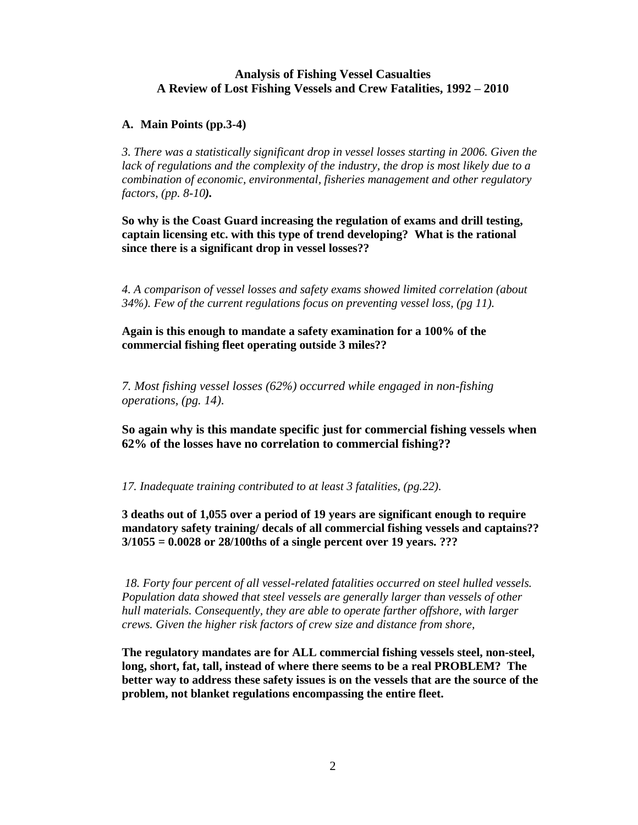## **Analysis of Fishing Vessel Casualties A Review of Lost Fishing Vessels and Crew Fatalities, 1992 – 2010**

## **A. Main Points (pp.3-4)**

*3. There was a statistically significant drop in vessel losses starting in 2006. Given the lack of regulations and the complexity of the industry, the drop is most likely due to a combination of economic, environmental, fisheries management and other regulatory factors, (pp. 8-10).*

**So why is the Coast Guard increasing the regulation of exams and drill testing, captain licensing etc. with this type of trend developing? What is the rational since there is a significant drop in vessel losses??**

*4. A comparison of vessel losses and safety exams showed limited correlation (about 34%). Few of the current regulations focus on preventing vessel loss, (pg 11).*

**Again is this enough to mandate a safety examination for a 100% of the commercial fishing fleet operating outside 3 miles??**

*7. Most fishing vessel losses (62%) occurred while engaged in non-fishing operations, (pg. 14)*.

**So again why is this mandate specific just for commercial fishing vessels when 62% of the losses have no correlation to commercial fishing??**

*17. Inadequate training contributed to at least 3 fatalities, (pg.22).*

**3 deaths out of 1,055 over a period of 19 years are significant enough to require mandatory safety training/ decals of all commercial fishing vessels and captains?? 3/1055 = 0.0028 or 28/100ths of a single percent over 19 years. ???** 

*18. Forty four percent of all vessel-related fatalities occurred on steel hulled vessels. Population data showed that steel vessels are generally larger than vessels of other hull materials. Consequently, they are able to operate farther offshore, with larger crews. Given the higher risk factors of crew size and distance from shore,*

**The regulatory mandates are for ALL commercial fishing vessels steel, non-steel, long, short, fat, tall, instead of where there seems to be a real PROBLEM? The better way to address these safety issues is on the vessels that are the source of the problem, not blanket regulations encompassing the entire fleet.**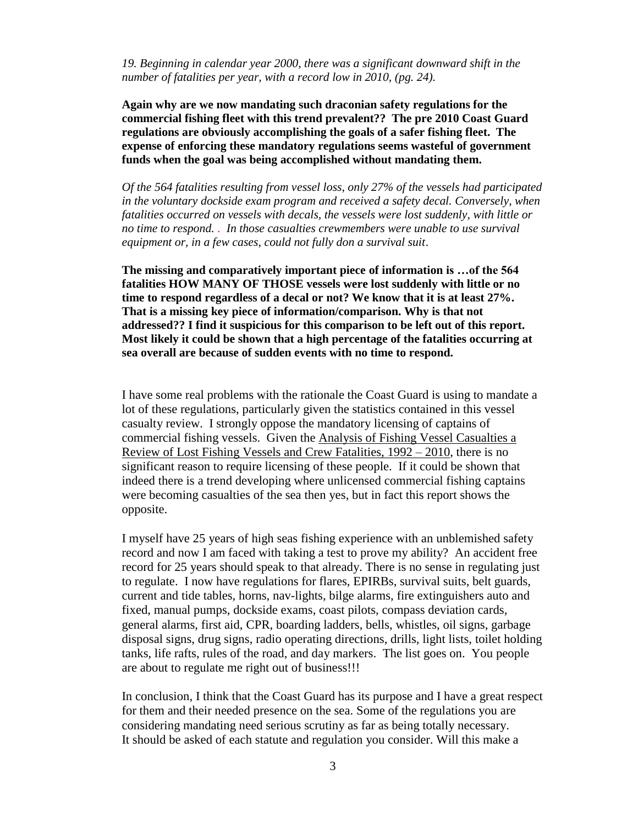*19. Beginning in calendar year 2000, there was a significant downward shift in the number of fatalities per year, with a record low in 2010, (pg. 24).*

**Again why are we now mandating such draconian safety regulations for the commercial fishing fleet with this trend prevalent?? The pre 2010 Coast Guard regulations are obviously accomplishing the goals of a safer fishing fleet. The expense of enforcing these mandatory regulations seems wasteful of government funds when the goal was being accomplished without mandating them.** 

*Of the 564 fatalities resulting from vessel loss, only 27% of the vessels had participated in the voluntary dockside exam program and received a safety decal. Conversely, when fatalities occurred on vessels with decals, the vessels were lost suddenly, with little or no time to respond. . In those casualties crewmembers were unable to use survival equipment or, in a few cases, could not fully don a survival suit*.

**The missing and comparatively important piece of information is …of the 564 fatalities HOW MANY OF THOSE vessels were lost suddenly with little or no time to respond regardless of a decal or not? We know that it is at least 27%. That is a missing key piece of information/comparison. Why is that not addressed?? I find it suspicious for this comparison to be left out of this report. Most likely it could be shown that a high percentage of the fatalities occurring at sea overall are because of sudden events with no time to respond.** 

I have some real problems with the rationale the Coast Guard is using to mandate a lot of these regulations, particularly given the statistics contained in this vessel casualty review.I strongly oppose the mandatory licensing of captains of commercial fishing vessels. Given the Analysis of Fishing Vessel Casualties a Review of Lost Fishing Vessels and Crew Fatalities, 1992 – 2010, there is no significant reason to require licensing of these people. If it could be shown that indeed there is a trend developing where unlicensed commercial fishing captains were becoming casualties of the sea then yes, but in fact this report shows the opposite.

I myself have 25 years of high seas fishing experience with an unblemished safety record and now I am faced with taking a test to prove my ability? An accident free record for 25 years should speak to that already. There is no sense in regulating just to regulate. I now have regulations for flares, EPIRBs, survival suits, belt guards, current and tide tables, horns, nav-lights, bilge alarms, fire extinguishers auto and fixed, manual pumps, dockside exams, coast pilots, compass deviation cards, general alarms, first aid, CPR, boarding ladders, bells, whistles, oil signs, garbage disposal signs, drug signs, radio operating directions, drills, light lists, toilet holding tanks, life rafts, rules of the road, and day markers. The list goes on. You people are about to regulate me right out of business!!!

In conclusion, I think that the Coast Guard has its purpose and I have a great respect for them and their needed presence on the sea. Some of the regulations you are considering mandating need serious scrutiny as far as being totally necessary. It should be asked of each statute and regulation you consider. Will this make a